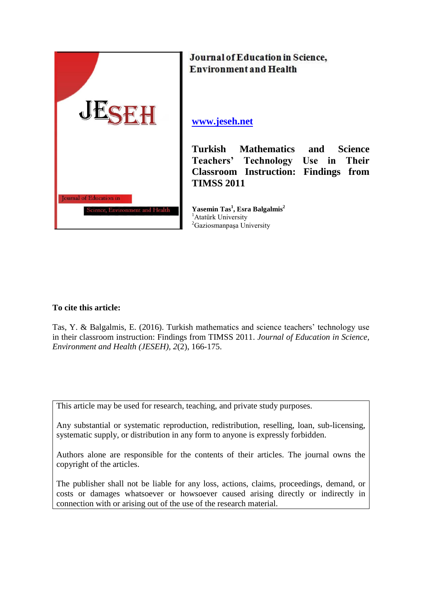

Journal of Education in Science, **Environment and Health** 

**[www.jeseh.net](http://www.jeseh.net/)**

**Turkish Mathematics and Science Teachers' Technology Use in Their Classroom Instruction: Findings from TIMSS 2011** 

**Yasemin Tas 1 , Esra Balgalmis<sup>2</sup>** <sup>1</sup>Atatürk University <sup>2</sup>Gaziosmanpaşa University

## **To cite this article:**

Tas, Y. & Balgalmis, E. (2016). Turkish mathematics and science teachers' technology use in their classroom instruction: Findings from TIMSS 2011. *Journal of Education in Science, Environment and Health (JESEH), 2*(2), 166-175.

This article may be used for research, teaching, and private study purposes.

Any substantial or systematic reproduction, redistribution, reselling, loan, sub-licensing, systematic supply, or distribution in any form to anyone is expressly forbidden.

Authors alone are responsible for the contents of their articles. The journal owns the copyright of the articles.

The publisher shall not be liable for any loss, actions, claims, proceedings, demand, or costs or damages whatsoever or howsoever caused arising directly or indirectly in connection with or arising out of the use of the research material.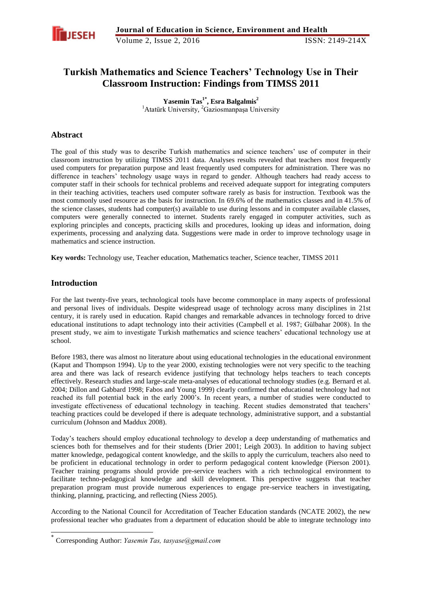

# **Turkish Mathematics and Science Teachers' Technology Use in Their Classroom Instruction: Findings from TIMSS 2011**

**Yasemin Tas 1\* , Esra Balgalmis<sup>2</sup>** <sup>1</sup>Atatürk University, <sup>2</sup>Gaziosmanpaşa University

## **Abstract**

The goal of this study was to describe Turkish mathematics and science teachers' use of computer in their classroom instruction by utilizing TIMSS 2011 data. Analyses results revealed that teachers most frequently used computers for preparation purpose and least frequently used computers for administration. There was no difference in teachers' technology usage ways in regard to gender. Although teachers had ready access to computer staff in their schools for technical problems and received adequate support for integrating computers in their teaching activities, teachers used computer software rarely as basis for instruction. Textbook was the most commonly used resource as the basis for instruction. In 69.6% of the mathematics classes and in 41.5% of the science classes, students had computer(s) available to use during lessons and in computer available classes, computers were generally connected to internet. Students rarely engaged in computer activities, such as exploring principles and concepts, practicing skills and procedures, looking up ideas and information, doing experiments, processing and analyzing data. Suggestions were made in order to improve technology usage in mathematics and science instruction.

**Key words:** Technology use, Teacher education, Mathematics teacher, Science teacher, TIMSS 2011

## **Introduction**

-

For the last twenty-five years, technological tools have become commonplace in many aspects of professional and personal lives of individuals. Despite widespread usage of technology across many disciplines in 21st century, it is rarely used in education. Rapid changes and remarkable advances in technology forced to drive educational institutions to adapt technology into their activities (Campbell et al. 1987; Gülbahar 2008). In the present study, we aim to investigate Turkish mathematics and science teachers' educational technology use at school.

Before 1983, there was almost no literature about using educational technologies in the educational environment (Kaput and Thompson 1994). Up to the year 2000, existing technologies were not very specific to the teaching area and there was lack of research evidence justifying that technology helps teachers to teach concepts effectively. Research studies and large-scale meta-analyses of educational technology studies (e.g. Bernard et al. 2004; Dillon and Gabbard 1998; Fabos and Young 1999) clearly confirmed that educational technology had not reached its full potential back in the early 2000's. In recent years, a number of studies were conducted to investigate effectiveness of educational technology in teaching. Recent studies demonstrated that teachers' teaching practices could be developed if there is adequate technology, administrative support, and a substantial curriculum (Johnson and Maddux 2008).

Today's teachers should employ educational technology to develop a deep understanding of mathematics and sciences both for themselves and for their students (Drier 2001; Leigh 2003). In addition to having subject matter knowledge, pedagogical content knowledge, and the skills to apply the curriculum, teachers also need to be proficient in educational technology in order to perform pedagogical content knowledge (Pierson 2001). Teacher training programs should provide pre-service teachers with a rich technological environment to facilitate techno-pedagogical knowledge and skill development. This perspective suggests that teacher preparation program must provide numerous experiences to engage pre-service teachers in investigating, thinking, planning, practicing, and reflecting (Niess 2005).

According to the National Council for Accreditation of Teacher Education standards (NCATE 2002), the new professional teacher who graduates from a department of education should be able to integrate technology into

<sup>\*</sup> Corresponding Author: *Yasemin Tas, tasyase@gmail.com*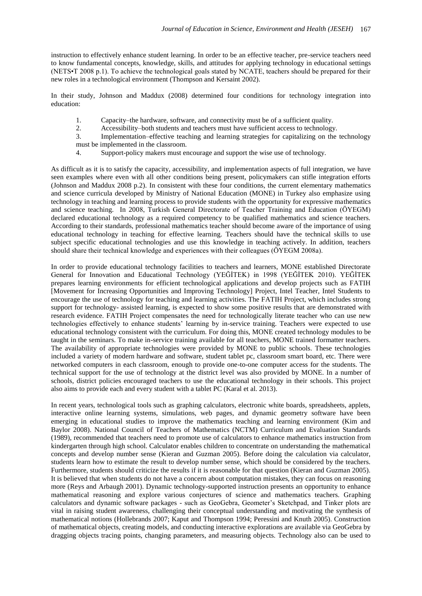instruction to effectively enhance student learning. In order to be an effective teacher, pre-service teachers need to know fundamental concepts, knowledge, skills, and attitudes for applying technology in educational settings (NETS•T 2008 p.1). To achieve the technological goals stated by NCATE, teachers should be prepared for their new roles in a technological environment (Thompson and Kersaint 2002).

In their study, Johnson and Maddux (2008) determined four conditions for technology integration into education:

- 1. Capacity–the hardware, software, and connectivity must be of a sufficient quality.
- 2. Accessibility–both students and teachers must have sufficient access to technology.

3. Implementation–effective teaching and learning strategies for capitalizing on the technology must be implemented in the classroom.

4. Support-policy makers must encourage and support the wise use of technology.

As difficult as it is to satisfy the capacity, accessibility, and implementation aspects of full integration, we have seen examples where even with all other conditions being present, policymakers can stifle integration efforts (Johnson and Maddux 2008 p.2). In consistent with these four conditions, the current elementary mathematics and science curricula developed by Ministry of National Education (MONE) in Turkey also emphasize using technology in teaching and learning process to provide students with the opportunity for expressive mathematics and science teaching. In 2008, Turkish General Directorate of Teacher Training and Education (ÖYEGM) declared educational technology as a required competency to be qualified mathematics and science teachers. According to their standards, professional mathematics teacher should become aware of the importance of using educational technology in teaching for effective learning. Teachers should have the technical skills to use subject specific educational technologies and use this knowledge in teaching actively. In addition, teachers should share their technical knowledge and experiences with their colleagues (ÖYEGM 2008a).

In order to provide educational technology facilities to teachers and learners, MONE established Directorate General for Innovation and Educational Technology (YEĞİTEK) in 1998 (YEĞİTEK 2010). YEĞİTEK prepares learning environments for efficient technological applications and develop projects such as FATIH [Movement for Increasing Opportunities and Improving Technology] Project, Intel Teacher, Intel Students to encourage the use of technology for teaching and learning activities. The FATIH Project, which includes strong support for technology- assisted learning, is expected to show some positive results that are demonstrated with research evidence. FATIH Project compensates the need for technologically literate teacher who can use new technologies effectively to enhance students' learning by in-service training. Teachers were expected to use educational technology consistent with the curriculum. For doing this, MONE created technology modules to be taught in the seminars. To make in-service training available for all teachers, MONE trained formatter teachers. The availability of appropriate technologies were provided by MONE to public schools. These technologies included a variety of modern hardware and software, student tablet pc, classroom smart board, etc. There were networked computers in each classroom, enough to provide one-to-one computer access for the students. The technical support for the use of technology at the district level was also provided by MONE. In a number of schools, district policies encouraged teachers to use the educational technology in their schools. This project also aims to provide each and every student with a tablet PC (Karal et al. 2013).

In recent years, technological tools such as graphing calculators, electronic white boards, spreadsheets, applets, interactive online learning systems, simulations, web pages, and dynamic geometry software have been emerging in educational studies to improve the mathematics teaching and learning environment (Kim and Baylor 2008). National Council of Teachers of Mathematics (NCTM) Curriculum and Evaluation Standards (1989), recommended that teachers need to promote use of calculators to enhance mathematics instruction from kindergarten through high school. Calculator enables children to concentrate on understanding the mathematical concepts and develop number sense (Kieran and Guzman 2005). Before doing the calculation via calculator, students learn how to estimate the result to develop number sense, which should be considered by the teachers. Furthermore, students should criticize the results if it is reasonable for that question (Kieran and Guzman 2005). It is believed that when students do not have a concern about computation mistakes, they can focus on reasoning more (Reys and Arbaugh 2001). Dynamic technology-supported instruction presents an opportunity to enhance mathematical reasoning and explore various conjectures of science and mathematics teachers. Graphing calculators and dynamic software packages - such as GeoGebra, Geometer's Sketchpad, and Tinker plots are vital in raising student awareness, challenging their conceptual understanding and motivating the synthesis of mathematical notions (Hollebrands 2007; Kaput and Thompson 1994; Peressini and Knuth 2005). Construction of mathematical objects, creating models, and conducting interactive explorations are available via GeoGebra by dragging objects tracing points, changing parameters, and measuring objects. Technology also can be used to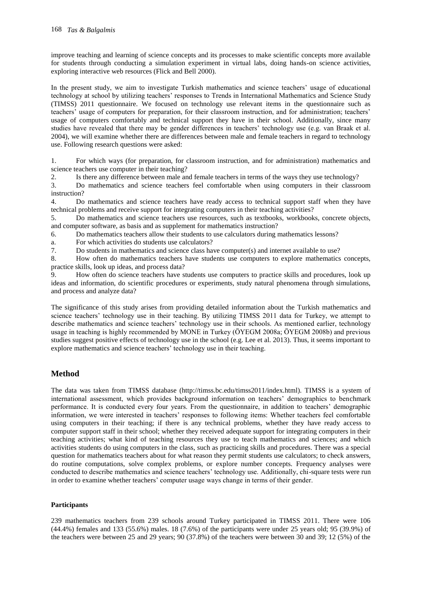improve teaching and learning of science concepts and its processes to make scientific concepts more available for students through conducting a simulation experiment in virtual labs, doing hands-on science activities, exploring interactive web resources (Flick and Bell 2000).

In the present study, we aim to investigate Turkish mathematics and science teachers' usage of educational technology at school by utilizing teachers' responses to Trends in International Mathematics and Science Study (TIMSS) 2011 questionnaire. We focused on technology use relevant items in the questionnaire such as teachers' usage of computers for preparation, for their classroom instruction, and for administration; teachers' usage of computers comfortably and technical support they have in their school. Additionally, since many studies have revealed that there may be gender differences in teachers' technology use (e.g. van Braak et al. 2004), we will examine whether there are differences between male and female teachers in regard to technology use. Following research questions were asked:

1. For which ways (for preparation, for classroom instruction, and for administration) mathematics and science teachers use computer in their teaching?

2. Is there any difference between male and female teachers in terms of the ways they use technology?

3. Do mathematics and science teachers feel comfortable when using computers in their classroom instruction?

4. Do mathematics and science teachers have ready access to technical support staff when they have technical problems and receive support for integrating computers in their teaching activities?

5. Do mathematics and science teachers use resources, such as textbooks, workbooks, concrete objects, and computer software, as basis and as supplement for mathematics instruction?

6. Do mathematics teachers allow their students to use calculators during mathematics lessons?

a. For which activities do students use calculators?

7. Do students in mathematics and science class have computer(s) and internet available to use?

8. How often do mathematics teachers have students use computers to explore mathematics concepts, practice skills, look up ideas, and process data?

9. How often do science teachers have students use computers to practice skills and procedures, look up ideas and information, do scientific procedures or experiments, study natural phenomena through simulations, and process and analyze data?

The significance of this study arises from providing detailed information about the Turkish mathematics and science teachers' technology use in their teaching. By utilizing TIMSS 2011 data for Turkey, we attempt to describe mathematics and science teachers' technology use in their schools. As mentioned earlier, technology usage in teaching is highly recommended by MONE in Turkey (ÖYEGM 2008a; ÖYEGM 2008b) and previous studies suggest positive effects of technology use in the school (e.g. Lee et al. 2013). Thus, it seems important to explore mathematics and science teachers' technology use in their teaching.

## **Method**

The data was taken from TIMSS database (http://timss.bc.edu/timss2011/index.html). TIMSS is a system of international assessment, which provides background information on teachers' demographics to benchmark performance. It is conducted every four years. From the questionnaire, in addition to teachers' demographic information, we were interested in teachers' responses to following items: Whether teachers feel comfortable using computers in their teaching; if there is any technical problems, whether they have ready access to computer support staff in their school; whether they received adequate support for integrating computers in their teaching activities; what kind of teaching resources they use to teach mathematics and sciences; and which activities students do using computers in the class, such as practicing skills and procedures. There was a special question for mathematics teachers about for what reason they permit students use calculators; to check answers, do routine computations, solve complex problems, or explore number concepts. Frequency analyses were conducted to describe mathematics and science teachers' technology use. Additionally, chi-square tests were run in order to examine whether teachers' computer usage ways change in terms of their gender.

## **Participants**

239 mathematics teachers from 239 schools around Turkey participated in TIMSS 2011. There were 106 (44.4%) females and 133 (55.6%) males. 18 (7.6%) of the participants were under 25 years old; 95 (39.9%) of the teachers were between 25 and 29 years; 90 (37.8%) of the teachers were between 30 and 39; 12 (5%) of the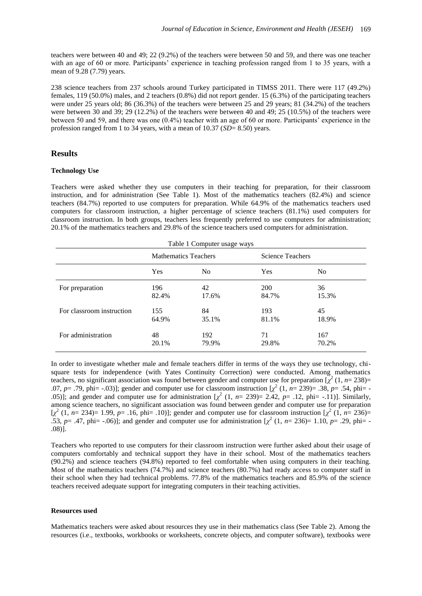teachers were between 40 and 49; 22 (9.2%) of the teachers were between 50 and 59, and there was one teacher with an age of 60 or more. Participants' experience in teaching profession ranged from 1 to 35 years, with a mean of 9.28 (7.79) years.

238 science teachers from 237 schools around Turkey participated in TIMSS 2011. There were 117 (49.2%) females, 119 (50.0%) males, and 2 teachers (0.8%) did not report gender. 15 (6.3%) of the participating teachers were under 25 years old; 86 (36.3%) of the teachers were between 25 and 29 years; 81 (34.2%) of the teachers were between 30 and 39; 29 (12.2%) of the teachers were between 40 and 49; 25 (10.5%) of the teachers were between 50 and 59, and there was one (0.4%) teacher with an age of 60 or more. Participants' experience in the profession ranged from 1 to 34 years, with a mean of 10.37 (*SD*= 8.50) years.

## **Results**

#### **Technology Use**

Teachers were asked whether they use computers in their teaching for preparation, for their classroom instruction, and for administration (See Table 1). Most of the mathematics teachers (82.4%) and science teachers (84.7%) reported to use computers for preparation. While 64.9% of the mathematics teachers used computers for classroom instruction, a higher percentage of science teachers (81.1%) used computers for classroom instruction. In both groups, teachers less frequently preferred to use computers for administration; 20.1% of the mathematics teachers and 29.8% of the science teachers used computers for administration.

|                           | <b>Mathematics Teachers</b> |                | Science Teachers |       |
|---------------------------|-----------------------------|----------------|------------------|-------|
|                           | Yes                         | N <sub>0</sub> | Yes              | No    |
| For preparation           | 196                         | 42             | <b>200</b>       | 36    |
|                           | 82.4%                       | 17.6%          | 84.7%            | 15.3% |
| For classroom instruction | 155                         | 84             | 193              | 45    |
|                           | 64.9%                       | 35.1%          | 81.1%            | 18.9% |
| For administration        | 48                          | 192            | 71               | 167   |
|                           | 20.1%                       | 79.9%          | 29.8%            | 70.2% |

In order to investigate whether male and female teachers differ in terms of the ways they use technology, chisquare tests for independence (with Yates Continuity Correction) were conducted. Among mathematics teachers, no significant association was found between gender and computer use for preparation  $[\chi^2(1, n=238)$ = .07, *p*= .79, phi= -.03)]; gender and computer use for classroom instruction  $[\chi^2(1, n=239)= .38, p=.54, \text{phi}$ .05)]; and gender and computer use for administration  $[\chi^2$  (1,  $n=$  239)= 2.42,  $p=$  .12, phi= -.11)]. Similarly, among science teachers, no significant association was found between gender and computer use for preparation  $[\chi^2 (1, n=234)=1.99, p=.16, \text{phi} = .10)]$ ; gender and computer use for classroom instruction  $[\chi^2 (1, n=236)$ = .53,  $p = .47$ , phi=  $-.06$ )]; and gender and computer use for administration  $[\chi^2 (1, n = 236) = 1.10, p = .29, \text{phi} = -1.00]$ .08)].

Teachers who reported to use computers for their classroom instruction were further asked about their usage of computers comfortably and technical support they have in their school. Most of the mathematics teachers (90.2%) and science teachers (94.8%) reported to feel comfortable when using computers in their teaching. Most of the mathematics teachers (74.7%) and science teachers (80.7%) had ready access to computer staff in their school when they had technical problems. 77.8% of the mathematics teachers and 85.9% of the science teachers received adequate support for integrating computers in their teaching activities.

#### **Resources used**

Mathematics teachers were asked about resources they use in their mathematics class (See Table 2). Among the resources (i.e., textbooks, workbooks or worksheets, concrete objects, and computer software), textbooks were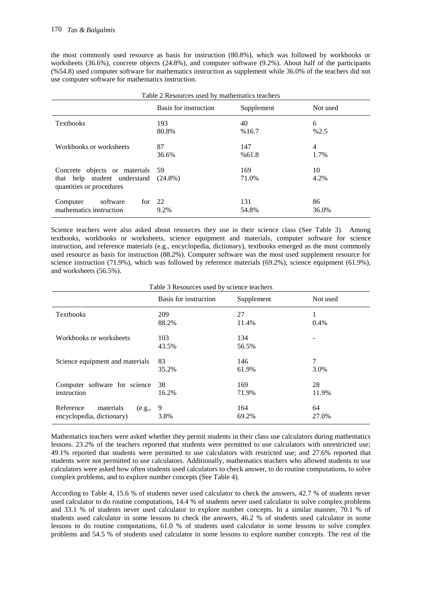the most commonly used resource as basis for instruction (80.8%), which was followed by workbooks or worksheets (36.6%), concrete objects (24.8%), and computer software (9.2%). About half of the participants (%54.8) used computer software for mathematics instruction as supplement while 36.0% of the teachers did not use computer software for mathematics instruction.

| I able 2 Resources used by mainematics teachers                                                         |                       |              |             |  |
|---------------------------------------------------------------------------------------------------------|-----------------------|--------------|-------------|--|
|                                                                                                         | Basis for instruction | Supplement   | Not used    |  |
| <b>Textbooks</b>                                                                                        | 193<br>80.8%          | 40<br>%16.7  | 6<br>%2.5   |  |
| Workbooks or worksheets                                                                                 | 87<br>36.6%           | 147<br>%61.8 | 4<br>1.7%   |  |
| Concrete objects or materials 59<br>that help student understand $(24.8\%)$<br>quantities or procedures |                       | 169<br>71.0% | 10<br>4.2%  |  |
| software<br>Computer<br>for<br>mathematics instruction                                                  | 22<br>9.2%            | 131<br>54.8% | 86<br>36.0% |  |

Table 2 Resources used by mathematics teachers

Science teachers were also asked about resources they use in their science class (See Table 3). Among textbooks, workbooks or worksheets, science equipment and materials, computer software for science instruction, and reference materials (e.g., encyclopedia, dictionary), textbooks emerged as the most commonly used resource as basis for instruction (88.2%). Computer software was the most used supplement resource for science instruction (71.9%), which was followed by reference materials (69.2%), science equipment (61.9%), and worksheets (56.5%).

Table 3 Resources used by science teachers

|                                  | Basis for instruction | Supplement | Not used |
|----------------------------------|-----------------------|------------|----------|
| <b>Textbooks</b>                 | 209                   | 27         |          |
|                                  | 88.2%                 | 11.4%      | 0.4%     |
| Workbooks or worksheets          | 103                   | 134        |          |
|                                  | 43.5%                 | 56.5%      |          |
| Science equipment and materials  | 83                    | 146        | 7        |
|                                  | 35.2%                 | 61.9%      | 3.0%     |
| Computer software for science    | 38                    | 169        | 28       |
| instruction                      | 16.2%                 | 71.9%      | 11.9%    |
| Reference<br>materials<br>(e.g., | 9                     | 164        | 64       |
| encyclopedia, dictionary)        | 3.8%                  | 69.2%      | 27.0%    |

Mathematics teachers were asked whether they permit students in their class use calculators during mathematics lessons. 23.2% of the teachers reported that students were permitted to use calculators with unrestricted use; 49.1% reported that students were permitted to use calculators with restricted use; and 27.6% reported that students were not permitted to use calculators. Additionally, mathematics teachers who allowed students to use calculators were asked how often students used calculators to check answer, to do routine computations, to solve complex problems, and to explore number concepts (See Table 4).

According to Table 4, 15.6 % of students never used calculator to check the answers, 42.7 % of students never used calculator to do routine computations, 14.4 % of students never used calculator to solve complex problems and 33.1 % of students never used calculator to explore number concepts. In a similar manner, 70.1 % of students used calculator in some lessons to check the answers, 46.2 % of students used calculator in some lessons to do routine computations, 61.0 % of students used calculator in some lessons to solve complex problems and 54.5 % of students used calculator in some lessons to explore number concepts. The rest of the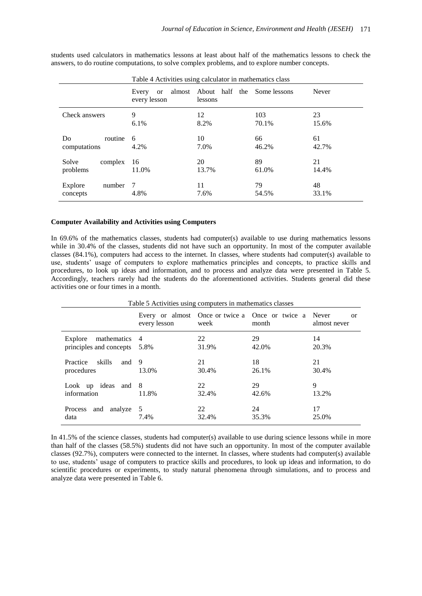|                               | Every<br>or<br>every lesson | almost About half the Some lessons<br>lessons |              | Never       |
|-------------------------------|-----------------------------|-----------------------------------------------|--------------|-------------|
| Check answers                 | 9<br>$6.1\%$                | 12<br>8.2%                                    | 103<br>70.1% | 23<br>15.6% |
| routine<br>Do<br>computations | 6<br>4.2%                   | 10<br>7.0%                                    | 66<br>46.2%  | 61<br>42.7% |
| Solve<br>complex<br>problems  | 16<br>11.0%                 | 20<br>13.7%                                   | 89<br>61.0%  | 21<br>14.4% |
| Explore<br>number<br>concepts | -7<br>4.8%                  | 11<br>7.6%                                    | 79<br>54.5%  | 48<br>33.1% |

students used calculators in mathematics lessons at least about half of the mathematics lessons to check the answers, to do routine computations, to solve complex problems, and to explore number concepts.

#### **Computer Availability and Activities using Computers**

In 69.6% of the mathematics classes, students had computer(s) available to use during mathematics lessons while in 30.4% of the classes, students did not have such an opportunity. In most of the computer available classes (84.1%), computers had access to the internet. In classes, where students had computer(s) available to use, students' usage of computers to explore mathematics principles and concepts, to practice skills and procedures, to look up ideas and information, and to process and analyze data were presented in Table 5. Accordingly, teachers rarely had the students do the aforementioned activities. Students general did these activities one or four times in a month.

|                                                     | every lesson | week        | Every or almost Once or twice a Once or twice a<br>month | Never<br><sub>or</sub><br>almost never |
|-----------------------------------------------------|--------------|-------------|----------------------------------------------------------|----------------------------------------|
| Explore<br>mathematics 4<br>principles and concepts | - 5.8%       | 22<br>31.9% | 29<br>42.0%                                              | 14<br>20.3%                            |
| skills<br>Practice<br>and $9$<br>procedures         | 13.0%        | 21<br>30.4% | 18<br>26.1%                                              | 21<br>30.4%                            |
| Look up ideas and 8<br>information                  | 11.8%        | 22<br>32.4% | 29<br>42.6%                                              | 9<br>13.2%                             |
| and analyze<br>Process<br>data                      | 5<br>7.4%    | 22<br>32.4% | 24<br>35.3%                                              | 17<br>25.0%                            |

In 41.5% of the science classes, students had computer(s) available to use during science lessons while in more than half of the classes (58.5%) students did not have such an opportunity. In most of the computer available classes (92.7%), computers were connected to the internet. In classes, where students had computer(s) available to use, students' usage of computers to practice skills and procedures, to look up ideas and information, to do scientific procedures or experiments, to study natural phenomena through simulations, and to process and analyze data were presented in Table 6.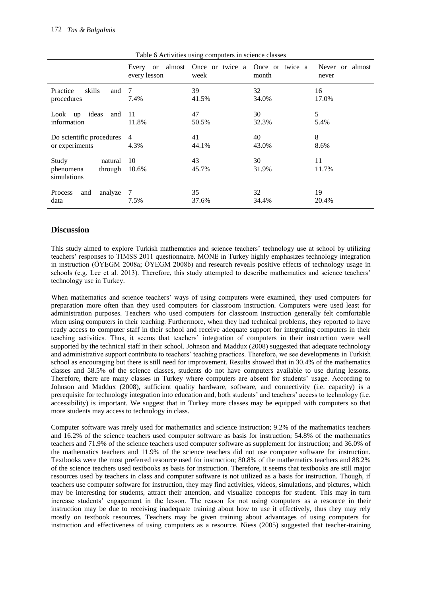|                                                         | every lesson           | week        | Every or almost Once or twice a Once or twice a<br>month | Never or almost<br>never |
|---------------------------------------------------------|------------------------|-------------|----------------------------------------------------------|--------------------------|
| Practice<br>skills<br>and<br>procedures                 | - 7<br>7.4%            | 39<br>41.5% | 32<br>34.0%                                              | 16<br>17.0%              |
| Look up ideas<br>and<br>information                     | - 11<br>11.8%          | 47<br>50.5% | 30<br>32.3%                                              | 5<br>5.4%                |
| Do scientific procedures<br>or experiments              | $\overline{4}$<br>4.3% | 41<br>44.1% | 40<br>43.0%                                              | 8<br>8.6%                |
| Study<br>natural<br>through<br>phenomena<br>simulations | 10<br>10.6%            | 43<br>45.7% | 30<br>31.9%                                              | 11<br>11.7%              |
| Process<br>analyze<br>and<br>data                       | 7<br>7.5%              | 35<br>37.6% | 32<br>34.4%                                              | 19<br>20.4%              |

Table 6 Activities using computers in science classes

## **Discussion**

This study aimed to explore Turkish mathematics and science teachers' technology use at school by utilizing teachers' responses to TIMSS 2011 questionnaire. MONE in Turkey highly emphasizes technology integration in instruction (ÖYEGM 2008a; ÖYEGM 2008b) and research reveals positive effects of technology usage in schools (e.g. Lee et al. 2013). Therefore, this study attempted to describe mathematics and science teachers' technology use in Turkey.

When mathematics and science teachers' ways of using computers were examined, they used computers for preparation more often than they used computers for classroom instruction. Computers were used least for administration purposes. Teachers who used computers for classroom instruction generally felt comfortable when using computers in their teaching. Furthermore, when they had technical problems, they reported to have ready access to computer staff in their school and receive adequate support for integrating computers in their teaching activities. Thus, it seems that teachers' integration of computers in their instruction were well supported by the technical staff in their school. Johnson and Maddux (2008) suggested that adequate technology and administrative support contribute to teachers' teaching practices. Therefore, we see developments in Turkish school as encouraging but there is still need for improvement. Results showed that in 30.4% of the mathematics classes and 58.5% of the science classes, students do not have computers available to use during lessons. Therefore, there are many classes in Turkey where computers are absent for students' usage. According to Johnson and Maddux (2008), sufficient quality hardware, software, and connectivity (i.e. capacity) is a prerequisite for technology integration into education and, both students' and teachers' access to technology (i.e. accessibility) is important. We suggest that in Turkey more classes may be equipped with computers so that more students may access to technology in class.

Computer software was rarely used for mathematics and science instruction; 9.2% of the mathematics teachers and 16.2% of the science teachers used computer software as basis for instruction; 54.8% of the mathematics teachers and 71.9% of the science teachers used computer software as supplement for instruction; and 36.0% of the mathematics teachers and 11.9% of the science teachers did not use computer software for instruction. Textbooks were the most preferred resource used for instruction; 80.8% of the mathematics teachers and 88.2% of the science teachers used textbooks as basis for instruction. Therefore, it seems that textbooks are still major resources used by teachers in class and computer software is not utilized as a basis for instruction. Though, if teachers use computer software for instruction, they may find activities, videos, simulations, and pictures, which may be interesting for students, attract their attention, and visualize concepts for student. This may in turn increase students' engagement in the lesson. The reason for not using computers as a resource in their instruction may be due to receiving inadequate training about how to use it effectively, thus they may rely mostly on textbook resources. Teachers may be given training about advantages of using computers for instruction and effectiveness of using computers as a resource. Niess (2005) suggested that teacher-training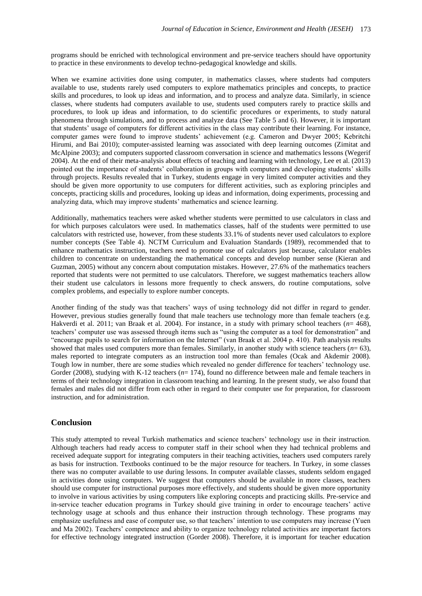programs should be enriched with technological environment and pre-service teachers should have opportunity to practice in these environments to develop techno-pedagogical knowledge and skills.

When we examine activities done using computer, in mathematics classes, where students had computers available to use, students rarely used computers to explore mathematics principles and concepts, to practice skills and procedures, to look up ideas and information, and to process and analyze data. Similarly, in science classes, where students had computers available to use, students used computers rarely to practice skills and procedures, to look up ideas and information, to do scientific procedures or experiments, to study natural phenomena through simulations, and to process and analyze data (See Table 5 and 6). However, it is important that students' usage of computers for different activities in the class may contribute their learning. For instance, computer games were found to improve students' achievement (e.g. Cameron and Dwyer 2005; Kebritchi Hirumi, and Bai 2010); computer-assisted learning was associated with deep learning outcomes (Zimitat and McAlpine 2003); and computers supported classroom conversation in science and mathematics lessons (Wegerif 2004). At the end of their meta-analysis about effects of teaching and learning with technology, Lee et al. (2013) pointed out the importance of students' collaboration in groups with computers and developing students' skills through projects. Results revealed that in Turkey, students engage in very limited computer activities and they should be given more opportunity to use computers for different activities, such as exploring principles and concepts, practicing skills and procedures, looking up ideas and information, doing experiments, processing and analyzing data, which may improve students' mathematics and science learning.

Additionally, mathematics teachers were asked whether students were permitted to use calculators in class and for which purposes calculators were used. In mathematics classes, half of the students were permitted to use calculators with restricted use, however, from these students 33.1% of students never used calculators to explore number concepts (See Table 4). NCTM Curriculum and Evaluation Standards (1989), recommended that to enhance mathematics instruction, teachers need to promote use of calculators just because, calculator enables children to concentrate on understanding the mathematical concepts and develop number sense (Kieran and Guzman, 2005) without any concern about computation mistakes. However, 27.6% of the mathematics teachers reported that students were not permitted to use calculators. Therefore, we suggest mathematics teachers allow their student use calculators in lessons more frequently to check answers, do routine computations, solve complex problems, and especially to explore number concepts.

Another finding of the study was that teachers' ways of using technology did not differ in regard to gender. However, previous studies generally found that male teachers use technology more than female teachers (e.g. Hakverdi et al. 2011; van Braak et al. 2004). For instance, in a study with primary school teachers (*n*= 468), teachers' computer use was assessed through items such as "using the computer as a tool for demonstration" and "encourage pupils to search for information on the Internet" (van Braak et al. 2004 p. 410). Path analysis results showed that males used computers more than females. Similarly, in another study with science teachers  $(n= 63)$ , males reported to integrate computers as an instruction tool more than females (Ocak and Akdemir 2008). Tough low in number, there are some studies which revealed no gender difference for teachers' technology use. Gorder (2008), studying with K-12 teachers ( $n= 174$ ), found no difference between male and female teachers in terms of their technology integration in classroom teaching and learning. In the present study, we also found that females and males did not differ from each other in regard to their computer use for preparation, for classroom instruction, and for administration.

## **Conclusion**

This study attempted to reveal Turkish mathematics and science teachers' technology use in their instruction. Although teachers had ready access to computer staff in their school when they had technical problems and received adequate support for integrating computers in their teaching activities, teachers used computers rarely as basis for instruction. Textbooks continued to be the major resource for teachers. In Turkey, in some classes there was no computer available to use during lessons. In computer available classes, students seldom engaged in activities done using computers. We suggest that computers should be available in more classes, teachers should use computer for instructional purposes more effectively, and students should be given more opportunity to involve in various activities by using computers like exploring concepts and practicing skills. Pre-service and in-service teacher education programs in Turkey should give training in order to encourage teachers' active technology usage at schools and thus enhance their instruction through technology. These programs may emphasize usefulness and ease of computer use, so that teachers' intention to use computers may increase (Yuen and Ma 2002). Teachers' competence and ability to organize technology related activities are important factors for effective technology integrated instruction (Gorder 2008). Therefore, it is important for teacher education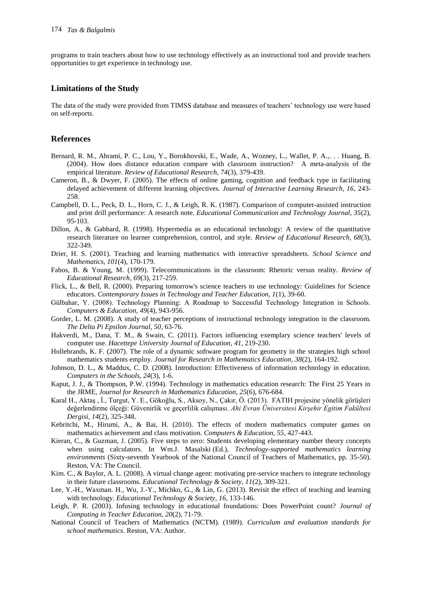programs to train teachers about how to use technology effectively as an instructional tool and provide teachers opportunities to get experience in technology use.

### **Limitations of the Study**

The data of the study were provided from TIMSS database and measures of teachers' technology use were based on self-reports.

#### **References**

- Bernard, R. M., Abrami, P. C., Lou, Y., Borokhovski, E., Wade, A., Wozney, L., Wallet, P. A.,. . . Huang, B. (2004). How does distance education compare with classroom instruction? A meta-analysis of the empirical literature. *Review of Educational Research, 74*(3), 379-439.
- Cameron, B., & Dwyer, F. (2005). The effects of online gaming, cognition and feedback type in facilitating delayed achievement of different learning objectives. *Journal of Interactive Learning Research, 16*, 243- 258.
- Campbell, D. L., Peck, D. L., Horn, C. J., & Leigh, R. K. (1987). Comparison of computer-assisted instruction and print drill performance: A research note. *Educational Communication and Technology Journal, 35*(2), 95-103.
- Dillon, A., & Gabbard, R. (1998). Hypermedia as an educational technology: A review of the quantitative research literature on learner comprehension, control, and style. *Review of Educational Research, 68*(3), 322-349.
- Drier, H. S. (2001). Teaching and learning mathematics with interactive spreadsheets. *School Science and Mathematics*, *101*(4), 170-179.
- Fabos, B. & Young, M. (1999). Telecommunications in the classroom: Rhetoric versus reality. *Review of Educational Research, 69*(3), 217-259.
- Flick, L., & Bell, R. (2000). Preparing tomorrow's science teachers to use technology: Guidelines for Science educators. *Contemporary Issues in Technology and Teacher Education, 1*(1), 39-60.
- Gülbahar, Y. (2008). Technology Planning: A Roadmap to Successful Technology Integration in Schools. *Computers & Education, 49*(4), 943-956.
- Gorder, L. M. (2008). A study of teacher perceptions of instructional technology integration in the classroom. *The Delta Pi Epsilon Journal, 50*, 63-76.
- Hakverdi, M., Dana, T. M., & Swain, C. (2011). Factors influencing exemplary science teachers' levels of computer use. *Hacettepe University Journal of Education, 41*, 219-230.
- Hollebrands, K. F. (2007). The role of a dynamic software program for geometry in the strategies high school mathematics students employ. *Journal for Research in Mathematics Education, 38*(2), 164-192.
- Johnson, D. L., & Maddux, C. D. (2008). Introduction: Effectiveness of information technology in education. *Computers in the Schools, 24*(3), 1-6.
- Kaput, J. J., & Thompson, P.W. (1994). Technology in mathematics education research: The First 25 Years in the JRME, *Journal for Research in Mathematics Education, 25*(6), 676-684.
- Karal H., Aktaş , İ., Turgut, Y. E., Gökoğlu, S., Aksoy, N., Çakır, Ö. (2013). FATIH projesine yönelik görüşleri değerlendirme ölçeği: Güvenirlik ve geçerlilik calışması. *Ahi Evran Üniversitesi Kirşehir Egitim Fakültesi Dergisi, 14*(2), 325-348.
- Kebritchi, M., Hirumi, A., & Bai, H. (2010). The effects of modern mathematics computer games on mathematics achievement and class motivation. *Computers & Education, 55*, 427-443.
- Kieran, C., & Guzman, J. (2005). Five steps to zero: Students developing elementary number theory concepts when using calculators. In Wm.J. Masalski (Ed.), *Technology-supported mathematics learning environments* (Sixty-seventh Yearbook of the National Council of Teachers of Mathematics, pp. 35-50). Reston, VA: The Council.
- Kim. C., & Baylor, A. L. (2008). A virtual change agent: motivating pre-service teachers to integrate technology in their future classrooms. *Educational Technology & Society, 11*(2), 309-321.
- Lee, Y.-H., Waxman. H., Wu, J.-Y., Michko, G., & Lin, G. (2013). Revisit the effect of teaching and learning with technology. *Educational Technology & Society, 16*, 133-146.
- Leigh, P. R. (2003). Infusing technology in educational foundations: Does PowerPoint count? *Journal of Computing in Teacher Education, 20*(2), 71-79.
- National Council of Teachers of Mathematics (NCTM). (1989). *Curriculum and evaluation standards for school mathematics*. Reston, VA: Author.